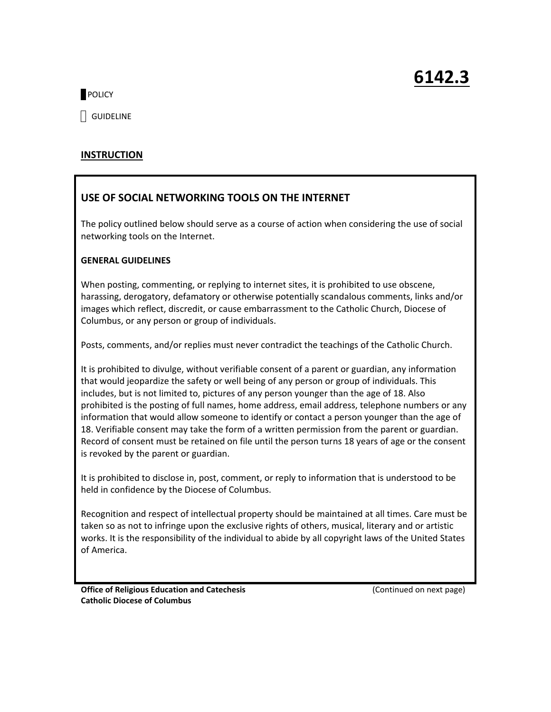### **POLICY**

GUIDELINE

### **INSTRUCTION**

## **USE OF SOCIAL NETWORKING TOOLS ON THE INTERNET**

The policy outlined below should serve as a course of action when considering the use of social networking tools on the Internet.

#### **GENERAL GUIDELINES**

When posting, commenting, or replying to internet sites, it is prohibited to use obscene, harassing, derogatory, defamatory or otherwise potentially scandalous comments, links and/or images which reflect, discredit, or cause embarrassment to the Catholic Church, Diocese of Columbus, or any person or group of individuals.

Posts, comments, and/or replies must never contradict the teachings of the Catholic Church.

It is prohibited to divulge, without verifiable consent of a parent or guardian, any information that would jeopardize the safety or well being of any person or group of individuals. This includes, but is not limited to, pictures of any person younger than the age of 18. Also prohibited is the posting of full names, home address, email address, telephone numbers or any information that would allow someone to identify or contact a person younger than the age of 18. Verifiable consent may take the form of a written permission from the parent or guardian. Record of consent must be retained on file until the person turns 18 years of age or the consent is revoked by the parent or guardian.

It is prohibited to disclose in, post, comment, or reply to information that is understood to be held in confidence by the Diocese of Columbus.

Recognition and respect of intellectual property should be maintained at all times. Care must be taken so as not to infringe upon the exclusive rights of others, musical, literary and or artistic works. It is the responsibility of the individual to abide by all copyright laws of the United States of America.

**Office of Religious Education and Catechesis 12.12 (Continued on next page) Catholic Diocese of Columbus**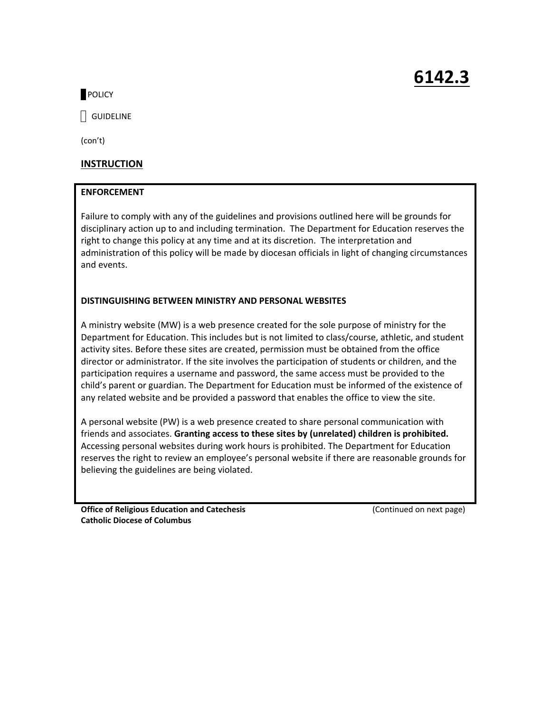## **POLICY**

GUIDELINE

(con't)

#### **INSTRUCTION**

#### **ENFORCEMENT**

Failure to comply with any of the guidelines and provisions outlined here will be grounds for disciplinary action up to and including termination. The Department for Education reserves the right to change this policy at any time and at its discretion. The interpretation and administration of this policy will be made by diocesan officials in light of changing circumstances and events.

#### **DISTINGUISHING BETWEEN MINISTRY AND PERSONAL WEBSITES**

A ministry website (MW) is a web presence created for the sole purpose of ministry for the Department for Education. This includes but is not limited to class/course, athletic, and student activity sites. Before these sites are created, permission must be obtained from the office director or administrator. If the site involves the participation of students or children, and the participation requires a username and password, the same access must be provided to the child's parent or guardian. The Department for Education must be informed of the existence of any related website and be provided a password that enables the office to view the site.

A personal website (PW) is a web presence created to share personal communication with friends and associates. **Granting access to these sites by (unrelated) children is prohibited.** Accessing personal websites during work hours is prohibited. The Department for Education reserves the right to review an employee's personal website if there are reasonable grounds for believing the guidelines are being violated.

**Office of Religious Education and Catechesis**  (Continued on next page) **Catholic Diocese of Columbus**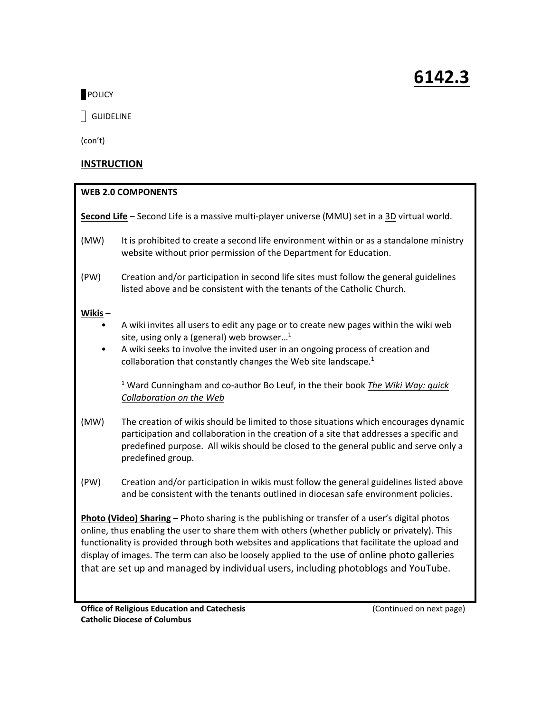## **POLICY**

GUIDELINE

(con't)

#### **INSTRUCTION**

#### **WEB 2.0 COMPONENTS**

**Second Life** – Second Life is a massive multi‐player universe (MMU) set in a 3D virtual world.

- (MW) It is prohibited to create a second life environment within or as a standalone ministry website without prior permission of the Department for Education.
- (PW) Creation and/or participation in second life sites must follow the general guidelines listed above and be consistent with the tenants of the Catholic Church.

#### **Wikis** –

- • A wiki invites all users to edit any page or to create new pages within the wiki web site, using only a (general) web browser... $<sup>1</sup>$ </sup>
- • A wiki seeks to involve the invited user in an ongoing process of creation and collaboration that constantly changes the Web site landscape.<sup>1</sup>

 1 Ward Cunningham and co‐author Bo Leuf, in the their book *The Wiki Way: quick Collaboration on the Web* 

- (MW) The creation of wikis should be limited to those situations which encourages dynamic participation and collaboration in the creation of a site that addresses a specific and predefined purpose. All wikis should be closed to the general public and serve only a predefined group.
- (PW) Creation and/or participation in wikis must follow the general guidelines listed above and be consistent with the tenants outlined in diocesan safe environment policies.

**Photo (Video) Sharing** – Photo sharing is the publishing or transfer of a user's digital photos online, thus enabling the user to share them with others (whether publicly or privately). This functionality is provided through both websites and applications that facilitate the upload and display of images. The term can also be loosely applied to the use of online photo galleries that are set up and managed by individual users, including photoblogs and YouTube.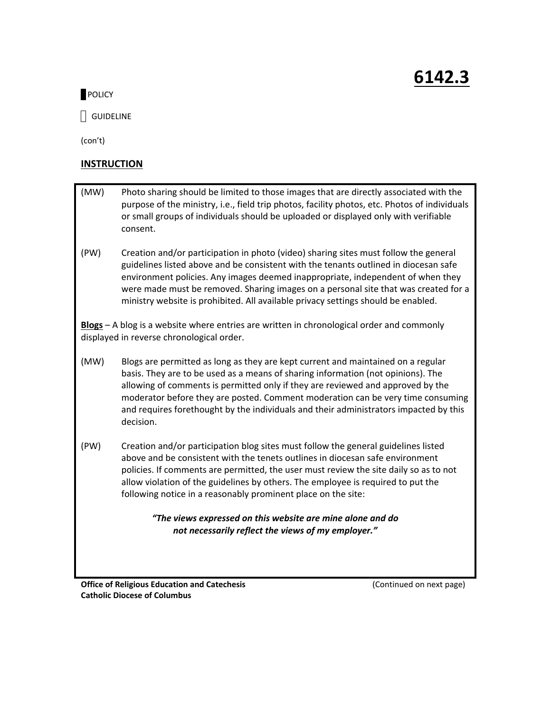## **POLICY**

|| GUIDELINE

(con't)

### **INSTRUCTION**

- (MW) Photo sharing should be limited to those images that are directly associated with the purpose of the ministry, i.e., field trip photos, facility photos, etc. Photos of individuals or small groups of individuals should be uploaded or displayed only with verifiable consent.
- (PW) Creation and/or participation in photo (video) sharing sites must follow the general guidelines listed above and be consistent with the tenants outlined in diocesan safe environment policies. Any images deemed inappropriate, independent of when they were made must be removed. Sharing images on a personal site that was created for a ministry website is prohibited. All available privacy settings should be enabled.

**Blogs** – A blog is a website where entries are written in chronological order and commonly displayed in reverse chronological order.

- (MW) Blogs are permitted as long as they are kept current and maintained on a regular basis. They are to be used as a means of sharing information (not opinions). The allowing of comments is permitted only if they are reviewed and approved by the moderator before they are posted. Comment moderation can be very time consuming and requires forethought by the individuals and their administrators impacted by this decision.
- (PW) Creation and/or participation blog sites must follow the general guidelines listed above and be consistent with the tenets outlines in diocesan safe environment policies. If comments are permitted, the user must review the site daily so as to not allow violation of the guidelines by others. The employee is required to put the following notice in a reasonably prominent place on the site:

*"The views expressed on this website are mine alone and do not necessarily reflect the views of my employer."* 

**Office of Religious Education and Catechesis**  (Continued on next page) **Catholic Diocese of Columbus**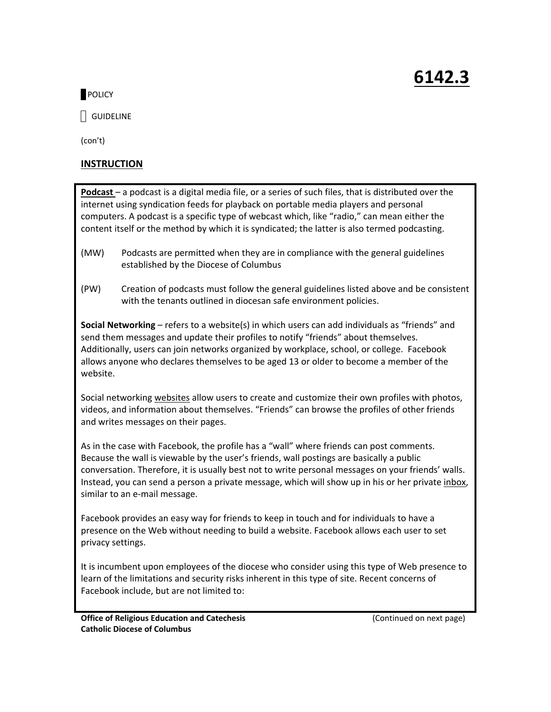## **POLICY**

GUIDELINE

(con't)

### **INSTRUCTION**

**Podcast** – a podcast is a digital media file, or a series of such files, that is distributed over the internet using syndication feeds for playback on portable media players and personal computers. A podcast is a specific type of webcast which, like "radio," can mean either the content itself or the method by which it is syndicated; the latter is also termed podcasting.

- (MW) Podcasts are permitted when they are in compliance with the general guidelines established by the Diocese of Columbus
- (PW) Creation of podcasts must follow the general guidelines listed above and be consistent with the tenants outlined in diocesan safe environment policies.

**Social Networking** – refers to a website(s) in which users can add individuals as "friends" and send them messages and update their profiles to notify "friends" about themselves. Additionally, users can join networks organized by workplace, school, or college. Facebook allows anyone who declares themselves to be aged 13 or older to become a member of the website.

Social networking websites allow users to create and customize their own profiles with photos, videos, and information about themselves. "Friends" can browse the profiles of other friends and writes messages on their pages.

As in the case with Facebook, the profile has a "wall" where friends can post comments. Because the wall is viewable by the user's friends, wall postings are basically a public conversation. Therefore, it is usually best not to write personal messages on your friends' walls. Instead, you can send a person a private message, which will show up in his or her private *inbox*, similar to an e‐mail message.

Facebook provides an easy way for friends to keep in touch and for individuals to have a presence on the Web without needing to build a website. Facebook allows each user to set privacy settings.

It is incumbent upon employees of the diocese who consider using this type of Web presence to learn of the limitations and security risks inherent in this type of site. Recent concerns of Facebook include, but are not limited to: